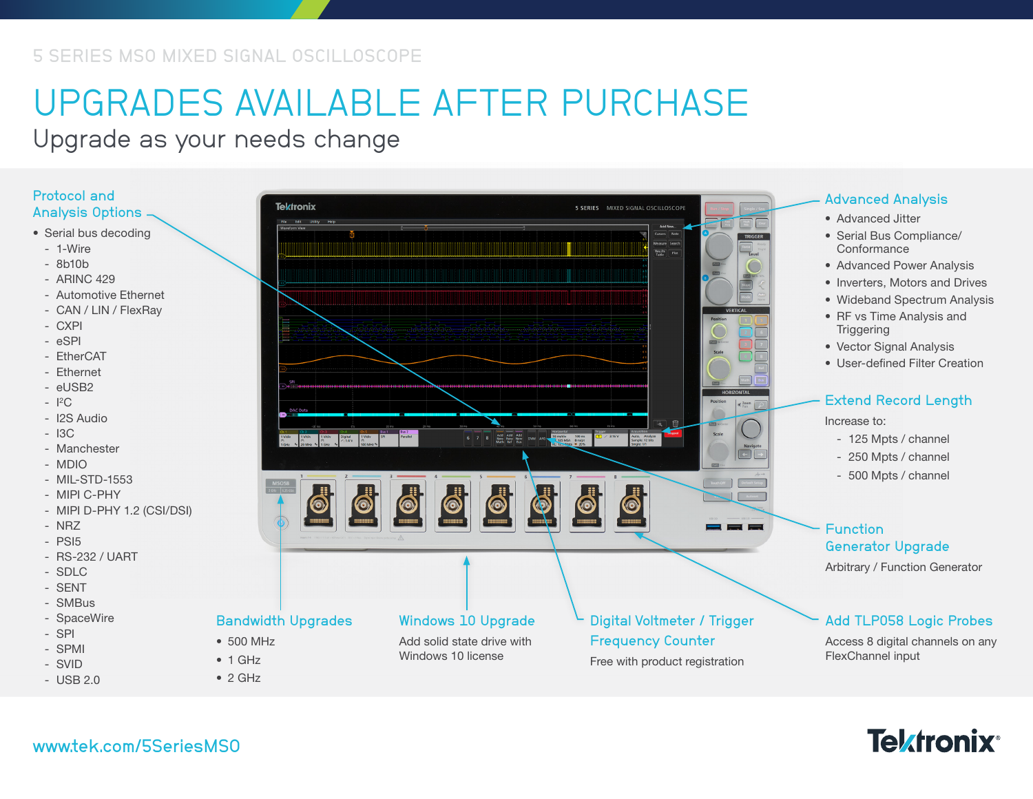# UPGRADES AVAILABLE AFTER PURCHASE

Upgrade as your needs change

#### Protocol and Analysis Options

- Serial bus decoding
	- 1-Wire
	- 8b10b
	- ARINC 429
	- Automotive Ethernet
	- CAN / LIN / FlexRay
	- CXPI
	- eSPI
	- EtherCAT
	- Ethernet
	- eUSB2
	- I 2C
	- I2S Audio
	- $-$  I3C
	- Manchester
- MDIO
- MIL-STD-1553
- MIPI C-PHY
- MIPI D-PHY 1.2 (CSI/DSI)
- NRZ
- PSI5
- RS-232 / UART
- SDLC
- SENT
- SMBus
- SpaceWire
- SPI
- SPMI
- SVID - USB 2.0



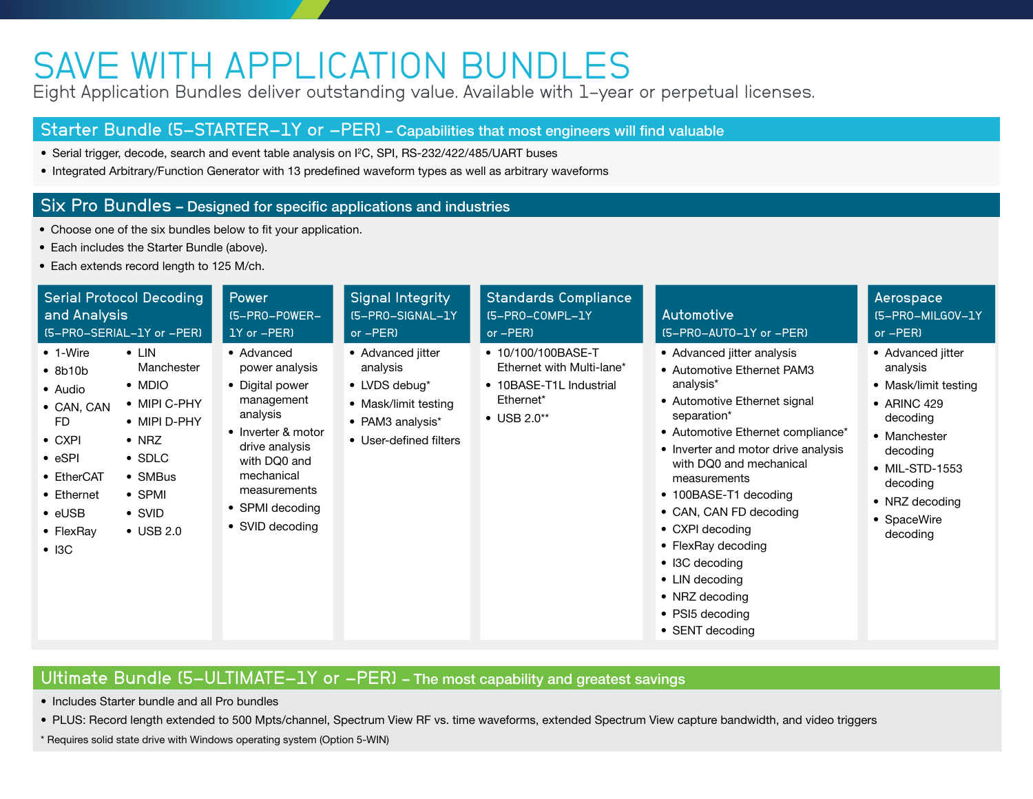### SAVE WITH APPLICATION BUNDLES

Eight Application Bundles deliver outstanding value. Available with 1-year or perpetual licenses.

#### Starter Bundle (5-STARTER-1Y or -PER) – Capabilities that most engineers will find valuable

- Serial trigger, decode, search and event table analysis on I2C, SPI, RS-232/422/485/UART buses
- Integrated Arbitrary/Function Generator with 13 predefined waveform types as well as arbitrary waveforms

#### Six Pro Bundles – Designed for specific applications and industries

- Choose one of the six bundles below to fit your application.
- Each includes the Starter Bundle (above).
- Each extends record length to 125 M/ch.

| <b>Serial Protocol Decoding</b><br>and Analysis<br>(5-PRO-SERIAL-1Y or -PER)                                                                                                                                                                                                                                                                                                | Power<br>$I5 - PRO-POWER-$<br>1Y or -PER)                                                                                                                                                             | Signal Integrity<br>[5-PRO-SIGNAL-1Y<br>or -PER)                                                                     | <b>Standards Compliance</b><br>(5-PRO-COMPL-1Y<br>or -PER)                                                     | Automotive<br>(5-PRO-AUTO-1Y or -PER)                                                                                                                                                                                                                                                                                                                                                                                                       | Aerospace<br>(5-PRO-MILGOV-1Y<br>or -PER)                                                                                                                                               |
|-----------------------------------------------------------------------------------------------------------------------------------------------------------------------------------------------------------------------------------------------------------------------------------------------------------------------------------------------------------------------------|-------------------------------------------------------------------------------------------------------------------------------------------------------------------------------------------------------|----------------------------------------------------------------------------------------------------------------------|----------------------------------------------------------------------------------------------------------------|---------------------------------------------------------------------------------------------------------------------------------------------------------------------------------------------------------------------------------------------------------------------------------------------------------------------------------------------------------------------------------------------------------------------------------------------|-----------------------------------------------------------------------------------------------------------------------------------------------------------------------------------------|
| $\bullet$ 1-Wire<br>$\bullet$ LIN<br>Manchester<br>• 8b10b<br>$\bullet$ MDIO<br>• Audio<br>• MIPI C-PHY<br>• CAN, CAN<br>• MIPI D-PHY<br>FD.<br>$\bullet$ NRZ<br>$\bullet$ CXPI<br>$\bullet$ eSPI<br>$\bullet$ SDLC<br>• EtherCAT<br>$\bullet$ SMBus<br>$\bullet$ SPMI<br>• Ethernet<br>$\bullet$ eUSB<br>$\bullet$ SVID<br>$\bullet$ USB 2.0<br>• FlexRay<br>$\bullet$ I3C | • Advanced<br>power analysis<br>• Digital power<br>management<br>analysis<br>• Inverter & motor<br>drive analysis<br>with DQ0 and<br>mechanical<br>measurements<br>• SPMI decoding<br>• SVID decoding | • Advanced jitter<br>analysis<br>• LVDS debug*<br>• Mask/limit testing<br>• PAM3 analysis*<br>• User-defined filters | • 10/100/100BASE-T<br>Ethernet with Multi-lane*<br>• 10BASE-T1L Industrial<br>Ethernet*<br>$\bullet$ USB 2.0** | • Advanced jitter analysis<br>• Automotive Ethernet PAM3<br>analysis*<br>• Automotive Ethernet signal<br>separation*<br>• Automotive Ethernet compliance*<br>• Inverter and motor drive analysis<br>with DQ0 and mechanical<br>measurements<br>• 100BASE-T1 decoding<br>• CAN, CAN FD decoding<br>• CXPI decoding<br>• FlexRay decoding<br>• I3C decoding<br>• LIN decoding<br>• NRZ decoding<br>$\bullet$ PSI5 decoding<br>• SENT decoding | • Advanced jitter<br>analysis<br>• Mask/limit testing<br>• ARINC 429<br>decoding<br>• Manchester<br>decoding<br>• MIL-STD-1553<br>decoding<br>• NRZ decoding<br>• SpaceWire<br>decoding |

### Ultimate Bundle (5-ULTIMATE-1Y or -PER) - The most capability and greatest savings

- Includes Starter bundle and all Pro bundles
- PLUS: Record length extended to 500 Mpts/channel, Spectrum View RF vs. time waveforms, extended Spectrum View capture bandwidth, and video triggers
- \* Requires solid state drive with Windows operating system (Option 5-WIN)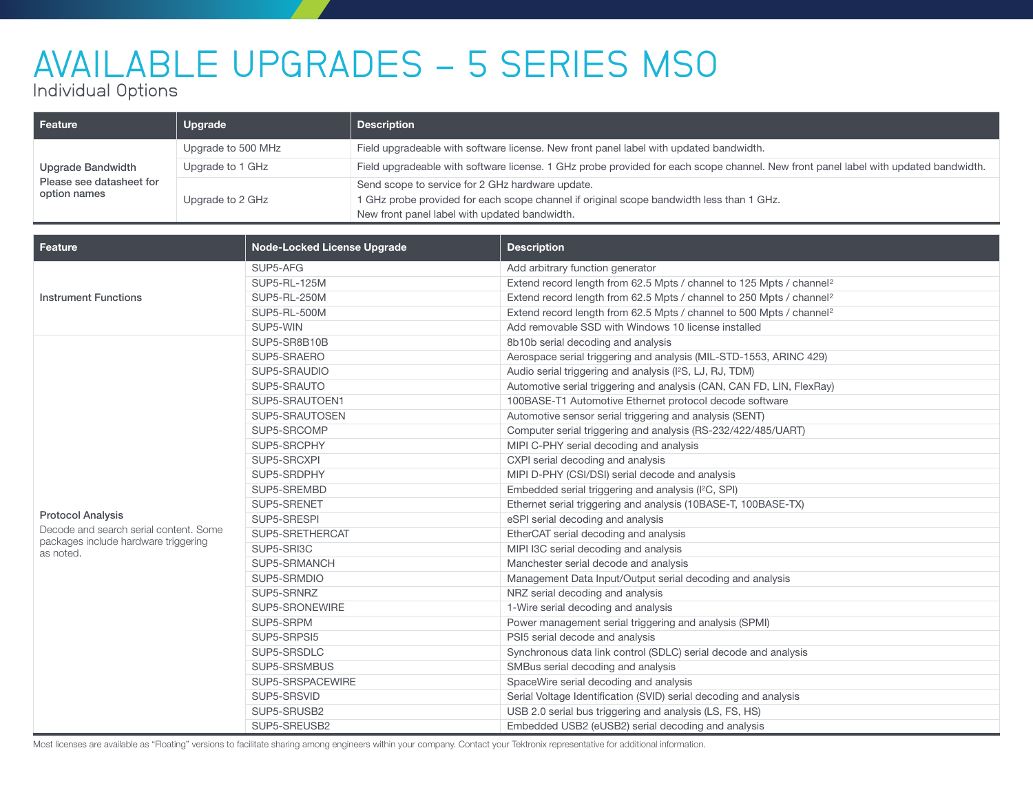# AVAILABLE UPGRADES - 5 SERIES MSO

Individual Options

| Feature                                                       | Upgrade            | <b>Description</b>                                                                                                                                                                            |  |
|---------------------------------------------------------------|--------------------|-----------------------------------------------------------------------------------------------------------------------------------------------------------------------------------------------|--|
| Upgrade Bandwidth<br>Please see datasheet for<br>option names | Upgrade to 500 MHz | Field upgradeable with software license. New front panel label with updated bandwidth.                                                                                                        |  |
|                                                               | Upgrade to 1 GHz   | Field upgradeable with software license. 1 GHz probe provided for each scope channel. New front panel label with updated bandwidth.                                                           |  |
|                                                               | Upgrade to 2 GHz   | Send scope to service for 2 GHz hardware update.<br>1 GHz probe provided for each scope channel if original scope bandwidth less than 1 GHz.<br>New front panel label with updated bandwidth. |  |

| <b>Feature</b>                                                                 | <b>Node-Locked License Upgrade</b> | <b>Description</b>                                                               |  |
|--------------------------------------------------------------------------------|------------------------------------|----------------------------------------------------------------------------------|--|
|                                                                                | SUP5-AFG                           | Add arbitrary function generator                                                 |  |
|                                                                                | <b>SUP5-RL-125M</b>                | Extend record length from 62.5 Mpts / channel to 125 Mpts / channel <sup>2</sup> |  |
| <b>Instrument Functions</b>                                                    | <b>SUP5-RL-250M</b>                | Extend record length from 62.5 Mpts / channel to 250 Mpts / channel <sup>2</sup> |  |
|                                                                                | SUP5-RL-500M                       | Extend record length from 62.5 Mpts / channel to 500 Mpts / channel <sup>2</sup> |  |
|                                                                                | SUP5-WIN                           | Add removable SSD with Windows 10 license installed                              |  |
|                                                                                | SUP5-SR8B10B                       | 8b10b serial decoding and analysis                                               |  |
|                                                                                | SUP5-SRAERO                        | Aerospace serial triggering and analysis (MIL-STD-1553, ARINC 429)               |  |
|                                                                                | SUP5-SRAUDIO                       | Audio serial triggering and analysis (I <sup>2</sup> S, LJ, RJ, TDM)             |  |
|                                                                                | SUP5-SRAUTO                        | Automotive serial triggering and analysis (CAN, CAN FD, LIN, FlexRay)            |  |
|                                                                                | SUP5-SRAUTOEN1                     | 100BASE-T1 Automotive Ethernet protocol decode software                          |  |
|                                                                                | SUP5-SRAUTOSEN                     | Automotive sensor serial triggering and analysis (SENT)                          |  |
|                                                                                | SUP5-SRCOMP                        | Computer serial triggering and analysis (RS-232/422/485/UART)                    |  |
|                                                                                | SUP5-SRCPHY                        | MIPI C-PHY serial decoding and analysis                                          |  |
|                                                                                | SUP5-SRCXPI                        | CXPI serial decoding and analysis                                                |  |
|                                                                                | SUP5-SRDPHY                        | MIPI D-PHY (CSI/DSI) serial decode and analysis                                  |  |
|                                                                                | SUP5-SREMBD                        | Embedded serial triggering and analysis (I <sup>2</sup> C, SPI)                  |  |
|                                                                                | SUP5-SRENET                        | Ethernet serial triggering and analysis (10BASE-T, 100BASE-TX)                   |  |
| <b>Protocol Analysis</b>                                                       | SUP5-SRESPI                        | eSPI serial decoding and analysis                                                |  |
| Decode and search serial content. Some<br>packages include hardware triggering | SUP5-SRETHERCAT                    | EtherCAT serial decoding and analysis                                            |  |
| as noted.                                                                      | SUP5-SRI3C                         | MIPI I3C serial decoding and analysis                                            |  |
|                                                                                | SUP5-SRMANCH                       | Manchester serial decode and analysis                                            |  |
|                                                                                | SUP5-SRMDIO                        | Management Data Input/Output serial decoding and analysis                        |  |
|                                                                                | SUP5-SRNRZ                         | NRZ serial decoding and analysis                                                 |  |
|                                                                                | SUP5-SRONEWIRE                     | 1-Wire serial decoding and analysis                                              |  |
|                                                                                | SUP5-SRPM                          | Power management serial triggering and analysis (SPMI)                           |  |
|                                                                                | SUP5-SRPSI5                        | PSI5 serial decode and analysis                                                  |  |
|                                                                                | SUP5-SRSDLC                        | Synchronous data link control (SDLC) serial decode and analysis                  |  |
|                                                                                | SUP5-SRSMBUS                       | SMBus serial decoding and analysis                                               |  |
|                                                                                | SUP5-SRSPACEWIRE                   | SpaceWire serial decoding and analysis                                           |  |
|                                                                                | SUP5-SRSVID                        | Serial Voltage Identification (SVID) serial decoding and analysis                |  |
|                                                                                | SUP5-SRUSB2                        | USB 2.0 serial bus triggering and analysis (LS, FS, HS)                          |  |
|                                                                                | SUP5-SREUSB2                       | Embedded USB2 (eUSB2) serial decoding and analysis                               |  |

Most licenses are available as "Floating" versions to facilitate sharing among engineers within your company. Contact your Tektronix representative for additional information.